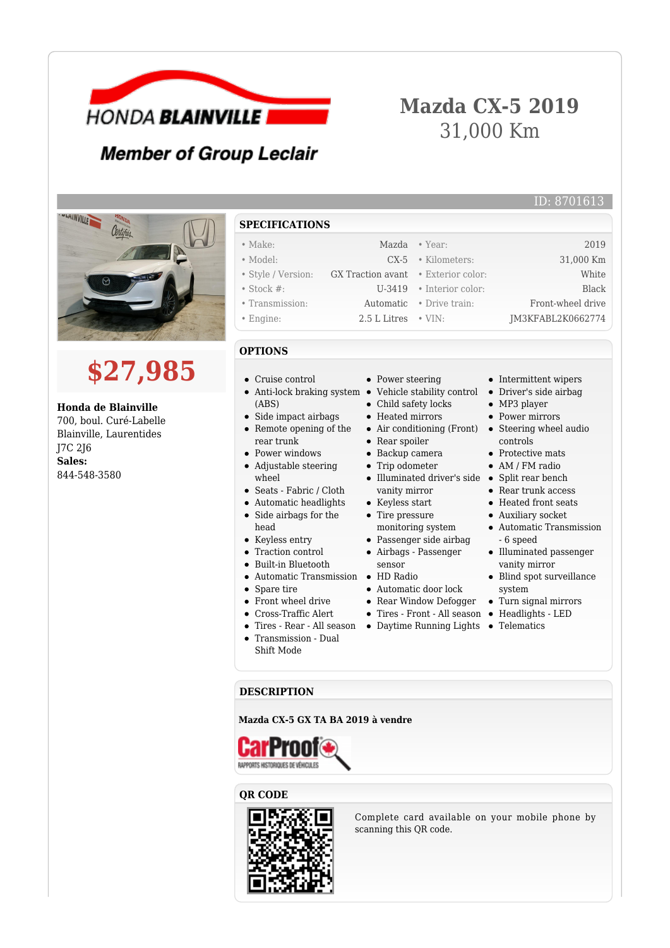

# **Mazda CX-5 2019** 31,000 Km

## **Member of Group Leclair**



# **\$27,985**

#### **Honda de Blainville**

700, boul. Curé-Labelle Blainville, Laurentides J7C 2J6 **Sales:** 844-548-3580

- **SPECIFICATIONS**
- Make: Mazda Year: 2019
- Model: CX-5 Kilometers: 31,000 Km
- Style / Version: GX Traction avant Exterior color: White
- Stock #: U-3419 Interior color: Black
- Transmission: Automatic Drive train: Front-wheel drive • Engine: 2.5 L Litres • VIN: JM3KFABL2K0662774
- 

### **OPTIONS**

- Cruise control
- Anti-lock braking system Vehicle stability control (ABS) Side impact airbags
- Remote opening of the rear trunk
- Power windows
- Adjustable steering wheel
- Seats Fabric / Cloth
- Automatic headlights
- $\bullet$ Side airbags for the head
- Keyless entry
- Traction control
- Built-in Bluetooth
- Automatic Transmission HD Radio
- Spare tire
- Front wheel drive
- Cross-Traffic Alert
- 
- Transmission Dual Shift Mode
- Power steering
- 
- Child safety locks
- Heated mirrors
- Rear spoiler
- Backup camera
- Trip odometer
- Illuminated driver's side Split rear bench vanity mirror
- Keyless start
- Tire pressure monitoring system
- 
- Airbags Passenger sensor
- 
- Automatic door lock
- Rear Window Defogger
- Tires Front All season Headlights LED
- Tires Rear All season Daytime Running Lights Telematics

• Intermittent wipers Driver's side airbag

ID: 8701613

- MP3 player
- Power mirrors
- Air conditioning (Front) Steering wheel audio controls
	- **Protective mats**
	- AM / FM radio
	-
	- Rear trunk access
	- Heated front seats
	- Auxiliary socket
	- Automatic Transmission - 6 speed
	- Illuminated passenger vanity mirror
	- Blind spot surveillance system
	- Turn signal mirrors
	-
	-

#### **DESCRIPTION**

**Mazda CX-5 GX TA BA 2019 à vendre**



## **QR CODE**



Complete card available on your mobile phone by scanning this QR code.

- -
	-
	-
	- Passenger side airbag
	-
	-
	-
	- -
- 
- 
- -
	- - -
- -
	-
	-